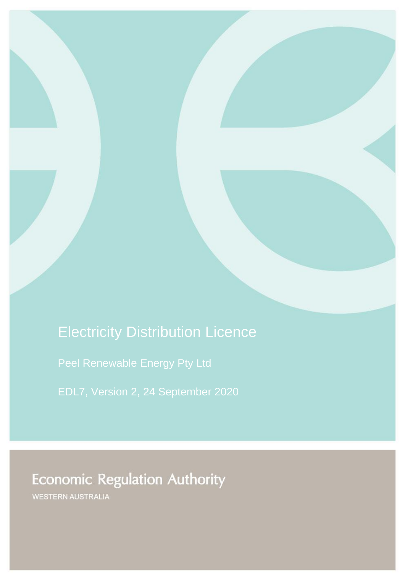# Electricity Distribution Licence

[Peel Renewable Energy Pty Ltd](#page-1-0)

[EDL7,](#page-1-1) Version [2,](#page-1-2) 24 September 2020

**Economic Regulation Authority** 

WESTERN AUSTRALIA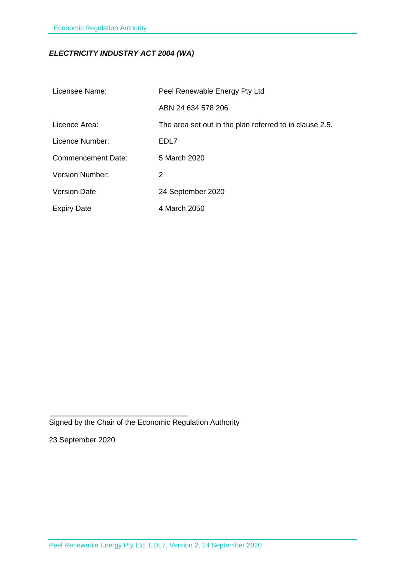## *ELECTRICITY INDUSTRY ACT 2004 (WA)*

<span id="page-1-2"></span><span id="page-1-1"></span><span id="page-1-0"></span>

| Licensee Name:            | Peel Renewable Energy Pty Ltd                           |
|---------------------------|---------------------------------------------------------|
|                           | ABN 24 634 578 206                                      |
| Licence Area:             | The area set out in the plan referred to in clause 2.5. |
| Licence Number:           | EDL7                                                    |
| <b>Commencement Date:</b> | 5 March 2020                                            |
| <b>Version Number:</b>    | 2                                                       |
| <b>Version Date</b>       | 24 September 2020                                       |
| <b>Expiry Date</b>        | 4 March 2050                                            |

Signed by the Chair of the Economic Regulation Authority

23 September 2020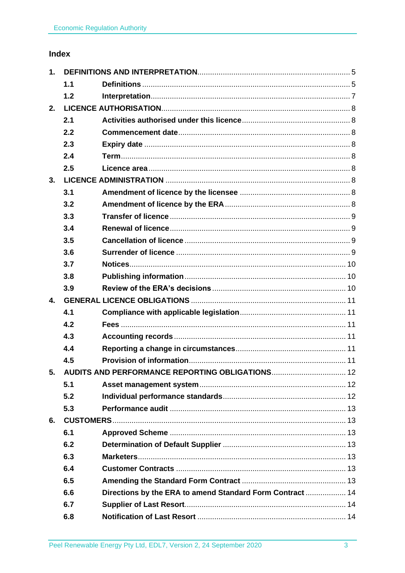# Index

| 1.             |     |                                                          |  |
|----------------|-----|----------------------------------------------------------|--|
|                | 1.1 |                                                          |  |
|                | 1.2 |                                                          |  |
| 2.             |     |                                                          |  |
|                | 2.1 |                                                          |  |
|                | 2.2 |                                                          |  |
|                | 2.3 |                                                          |  |
|                | 2.4 |                                                          |  |
|                | 2.5 |                                                          |  |
| 3.             |     |                                                          |  |
|                | 3.1 |                                                          |  |
|                | 3.2 |                                                          |  |
|                | 3.3 |                                                          |  |
|                | 3.4 |                                                          |  |
|                | 3.5 |                                                          |  |
|                | 3.6 |                                                          |  |
|                | 3.7 |                                                          |  |
|                | 3.8 |                                                          |  |
|                | 3.9 |                                                          |  |
| $\mathbf{4}$ . |     |                                                          |  |
|                | 4.1 |                                                          |  |
|                | 4.2 |                                                          |  |
|                | 4.3 |                                                          |  |
|                | 4.4 |                                                          |  |
|                | 4.5 |                                                          |  |
|                |     | 5. AUDITS AND PERFORMANCE REPORTING OBLIGATIONS 12       |  |
|                | 5.1 |                                                          |  |
|                | 5.2 |                                                          |  |
|                | 5.3 |                                                          |  |
| 6.             |     |                                                          |  |
|                | 6.1 |                                                          |  |
|                | 6.2 |                                                          |  |
|                | 6.3 |                                                          |  |
|                | 6.4 |                                                          |  |
|                | 6.5 |                                                          |  |
|                | 6.6 | Directions by the ERA to amend Standard Form Contract 14 |  |
|                | 6.7 |                                                          |  |
|                | 6.8 |                                                          |  |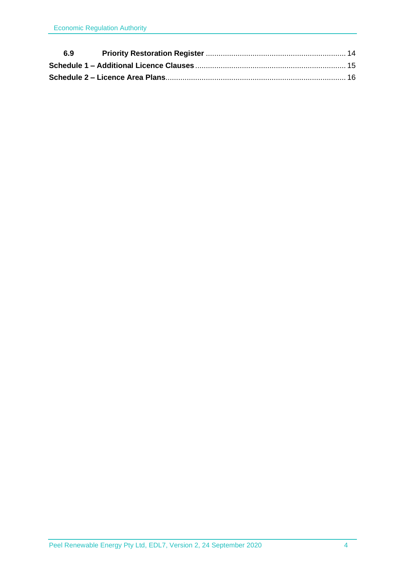| 6.9 |  |
|-----|--|
|     |  |
|     |  |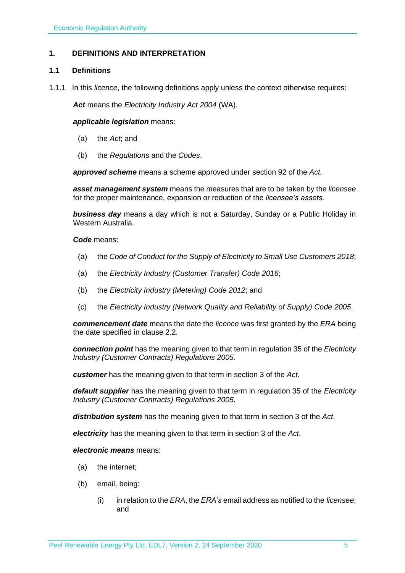## <span id="page-4-0"></span>**1. DEFINITIONS AND INTERPRETATION**

## <span id="page-4-1"></span>**1.1 Definitions**

1.1.1 In this *licence*, the following definitions apply unless the context otherwise requires:

*Act* means the *Electricity Industry Act 2004* (WA).

#### *applicable legislation* means:

- (a) the *Act*; and
- (b) the *Regulations* and the *Codes*.

*approved scheme* means a scheme approved under section 92 of the *Act.* 

*asset management system* means the measures that are to be taken by the *licensee* for the proper maintenance, expansion or reduction of the *licensee's assets*.

*business day* means a day which is not a Saturday, Sunday or a Public Holiday in Western Australia.

#### *Code* means:

- (a) the *Code of Conduct for the Supply of Electricity to Small Use Customers 2018*;
- (a) the *Electricity Industry (Customer Transfer) Code 2016*;
- (b) the *Electricity Industry (Metering) Code 2012*; and
- (c) the *Electricity Industry (Network Quality and Reliability of Supply) Code 2005*.

*commencement date* means the date the *licence* was first granted by the *ERA* being the date specified in clause 2.2.

*connection point* has the meaning given to that term in regulation 35 of the *Electricity Industry (Customer Contracts) Regulations 2005*.

*customer* has the meaning given to that term in section 3 of the *Act*.

*default supplier* has the meaning given to that term in regulation 35 of the *Electricity Industry (Customer Contracts) Regulations 2005.*

*distribution system* has the meaning given to that term in section 3 of the *Act*.

*electricity* has the meaning given to that term in section 3 of the *Act*.

#### *electronic means* means:

- (a) the internet;
- (b) email, being:
	- (i) in relation to the *ERA*, the *ERA's* email address as notified to the *licensee*; and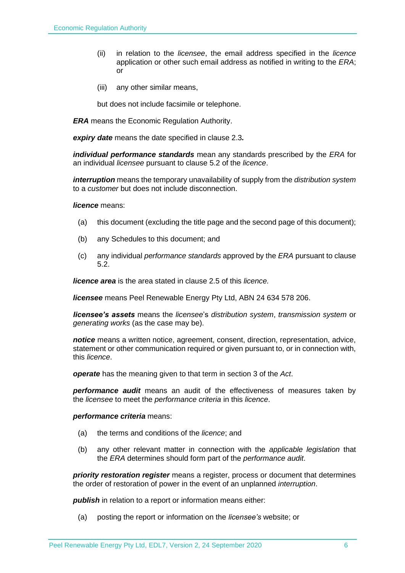- (ii) in relation to the *licensee*, the email address specified in the *licence* application or other such email address as notified in writing to the *ERA*; or
- (iii) any other similar means,

but does not include facsimile or telephone.

*ERA* means the Economic Regulation Authority.

*expiry date* means the date specified in clause 2.3*.*

*individual performance standards* mean any standards prescribed by the *ERA* for an individual *licensee* pursuant to clause 5.2 of the *licence*.

*interruption* means the temporary unavailability of supply from the *distribution system* to a *customer* but does not include disconnection.

*licence* means:

- (a) this document (excluding the title page and the second page of this document);
- (b) any Schedules to this document; and
- (c) any individual *performance standards* approved by the *ERA* pursuant to clause 5.2.

*licence area* is the area stated in clause 2.5 of this *licence.*

*licensee* means Peel Renewable Energy Pty Ltd, ABN 24 634 578 206.

*licensee's assets* means the *licensee*'s *distribution system*, *transmission system* or *generating works* (as the case may be).

*notice* means a written notice, agreement, consent, direction, representation, advice, statement or other communication required or given pursuant to, or in connection with, this *licence*.

*operate* has the meaning given to that term in section 3 of the *Act*.

*performance audit* means an audit of the effectiveness of measures taken by the *licensee* to meet the *performance criteria* in this *licence*.

*performance criteria* means:

- (a) the terms and conditions of the *licence*; and
- (b) any other relevant matter in connection with the *applicable legislation* that the *ERA* determines should form part of the *performance audit*.

*priority restoration register* means a register, process or document that determines the order of restoration of power in the event of an unplanned *interruption*.

**publish** in relation to a report or information means either:

(a) posting the report or information on the *licensee's* website; or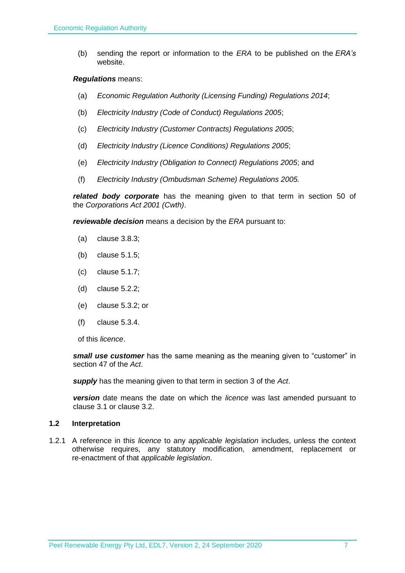(b) sending the report or information to the *ERA* to be published on the *ERA's* website.

#### *Regulations* means:

- (a) *Economic Regulation Authority (Licensing Funding) Regulations 2014*;
- (b) *Electricity Industry (Code of Conduct) Regulations 2005*;
- (c) *Electricity Industry (Customer Contracts) Regulations 2005*;
- (d) *Electricity Industry (Licence Conditions) Regulations 2005*;
- (e) *Electricity Industry (Obligation to Connect) Regulations 2005*; and
- (f) *Electricity Industry (Ombudsman Scheme) Regulations 2005.*

*related body corporate* has the meaning given to that term in section 50 of the *Corporations Act 2001 (Cwth)*.

*reviewable decision* means a decision by the *ERA* pursuant to:

- (a) clause 3.8.3;
- (b) clause 5.1.5;
- (c) clause 5.1.7;
- (d) clause 5.2.2;
- (e) clause 5.3.2; or
- (f) clause 5.3.4.

of this *licence*.

*small use customer* has the same meaning as the meaning given to "customer" in section 47 of the *Act*.

*supply* has the meaning given to that term in section 3 of the *Act*.

*version* date means the date on which the *licence* was last amended pursuant to clause 3.1 or clause 3.2.

## <span id="page-6-0"></span>**1.2 Interpretation**

1.2.1 A reference in this *licence* to any *applicable legislation* includes, unless the context otherwise requires, any statutory modification, amendment, replacement or re-enactment of that *applicable legislation*.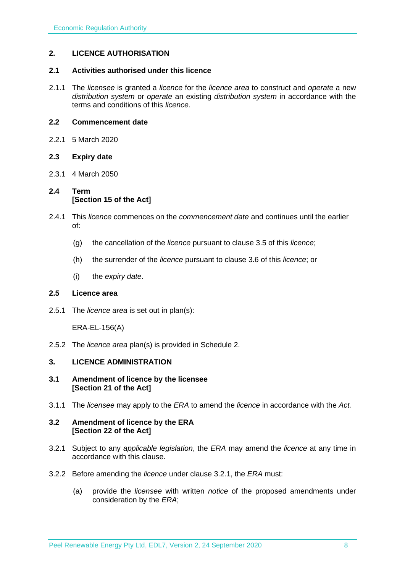## <span id="page-7-0"></span>**2. LICENCE AUTHORISATION**

#### <span id="page-7-1"></span>**2.1 Activities authorised under this licence**

2.1.1 The *licensee* is granted a *licence* for the *licence area* to construct and *operate* a new *distribution system* or *operate* an existing *distribution system* in accordance with the terms and conditions of this *licence*.

#### <span id="page-7-2"></span>**2.2 Commencement date**

2.2.1 5 March 2020

## <span id="page-7-3"></span>**2.3 Expiry date**

2.3.1 4 March 2050

## <span id="page-7-4"></span>**2.4 Term [Section 15 of the Act]**

- 2.4.1 This *licence* commences on the *commencement date* and continues until the earlier of:
	- (g) the cancellation of the *licence* pursuant to clause 3.5 of this *licence*;
	- (h) the surrender of the *licence* pursuant to clause 3.6 of this *licence*; or
	- (i) the *expiry date*.

## <span id="page-7-5"></span>**2.5 Licence area**

2.5.1 The *licence area* is set out in plan(s):

ERA-EL-156(A)

2.5.2 The *licence area* plan(s) is provided in Schedule 2.

## <span id="page-7-6"></span>**3. LICENCE ADMINISTRATION**

#### <span id="page-7-7"></span>**3.1 Amendment of licence by the licensee [Section 21 of the Act]**

3.1.1 The *licensee* may apply to the *ERA* to amend the *licence* in accordance with the *Act.*

#### <span id="page-7-8"></span>**3.2 Amendment of licence by the ERA [Section 22 of the Act]**

- 3.2.1 Subject to any *applicable legislation*, the *ERA* may amend the *licence* at any time in accordance with this clause.
- 3.2.2 Before amending the *licence* under clause 3.2.1, the *ERA* must:
	- (a) provide the *licensee* with written *notice* of the proposed amendments under consideration by the *ERA*;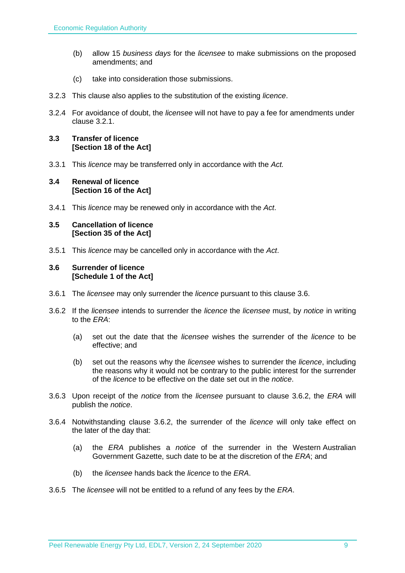- (b) allow 15 *business days* for the *licensee* to make submissions on the proposed amendments; and
- (c) take into consideration those submissions.
- 3.2.3 This clause also applies to the substitution of the existing *licence*.
- 3.2.4 For avoidance of doubt, the *licensee* will not have to pay a fee for amendments under clause 3.2.1.

## <span id="page-8-0"></span>**3.3 Transfer of licence [Section 18 of the Act]**

3.3.1 This *licence* may be transferred only in accordance with the *Act.*

## <span id="page-8-1"></span>**3.4 Renewal of licence [Section 16 of the Act]**

3.4.1 This *licence* may be renewed only in accordance with the *Act*.

#### <span id="page-8-2"></span>**3.5 Cancellation of licence [Section 35 of the Act]**

3.5.1 This *licence* may be cancelled only in accordance with the *Act*.

## <span id="page-8-3"></span>**3.6 Surrender of licence [Schedule 1 of the Act]**

- 3.6.1 The *licensee* may only surrender the *licence* pursuant to this clause 3.6.
- 3.6.2 If the *licensee* intends to surrender the *licence* the *licensee* must, by *notice* in writing to the *ERA*:
	- (a) set out the date that the *licensee* wishes the surrender of the *licence* to be effective; and
	- (b) set out the reasons why the *licensee* wishes to surrender the *licence*, including the reasons why it would not be contrary to the public interest for the surrender of the *licence* to be effective on the date set out in the *notice*.
- 3.6.3 Upon receipt of the *notice* from the *licensee* pursuant to clause 3.6.2, the *ERA* will publish the *notice*.
- 3.6.4 Notwithstanding clause 3.6.2, the surrender of the *licence* will only take effect on the later of the day that:
	- (a) the *ERA* publishes a *notice* of the surrender in the Western Australian Government Gazette, such date to be at the discretion of the *ERA*; and
	- (b) the *licensee* hands back the *licence* to the *ERA*.
- 3.6.5 The *licensee* will not be entitled to a refund of any fees by the *ERA*.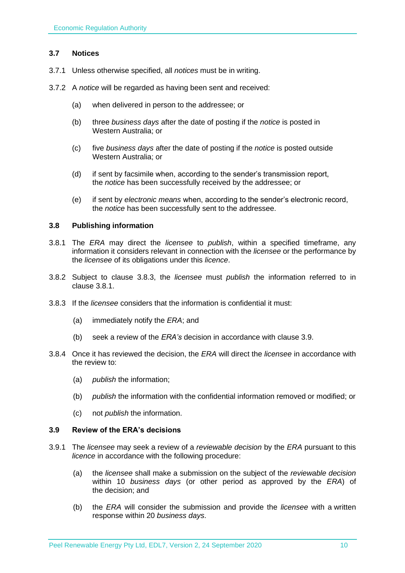## <span id="page-9-0"></span>**3.7 Notices**

- 3.7.1 Unless otherwise specified, all *notices* must be in writing.
- 3.7.2 A *notice* will be regarded as having been sent and received:
	- (a) when delivered in person to the addressee; or
	- (b) three *business days* after the date of posting if the *notice* is posted in Western Australia; or
	- (c) five *business days* after the date of posting if the *notice* is posted outside Western Australia; or
	- (d) if sent by facsimile when, according to the sender's transmission report, the *notice* has been successfully received by the addressee; or
	- (e) if sent by *electronic means* when, according to the sender's electronic record, the *notice* has been successfully sent to the addressee.

## <span id="page-9-1"></span>**3.8 Publishing information**

- 3.8.1 The *ERA* may direct the *licensee* to *publish*, within a specified timeframe, any information it considers relevant in connection with the *licensee* or the performance by the *licensee* of its obligations under this *licence*.
- 3.8.2 Subject to clause 3.8.3, the *licensee* must *publish* the information referred to in clause 3.8.1.
- 3.8.3 If the *licensee* considers that the information is confidential it must:
	- (a) immediately notify the *ERA*; and
	- (b) seek a review of the *ERA's* decision in accordance with clause 3.9.
- 3.8.4 Once it has reviewed the decision, the *ERA* will direct the *licensee* in accordance with the review to:
	- (a) *publish* the information;
	- (b) *publish* the information with the confidential information removed or modified; or
	- (c) not *publish* the information.

#### <span id="page-9-2"></span>**3.9 Review of the ERA's decisions**

- 3.9.1 The *licensee* may seek a review of a *reviewable decision* by the *ERA* pursuant to this *licence* in accordance with the following procedure:
	- (a) the *licensee* shall make a submission on the subject of the *reviewable decision* within 10 *business days* (or other period as approved by the *ERA*) of the decision; and
	- (b) the *ERA* will consider the submission and provide the *licensee* with a written response within 20 *business days*.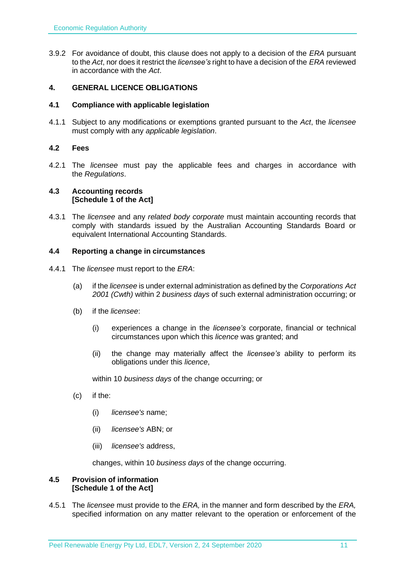3.9.2 For avoidance of doubt, this clause does not apply to a decision of the *ERA* pursuant to the *Act*, nor does it restrict the *licensee's* right to have a decision of the *ERA* reviewed in accordance with the *Act*.

## <span id="page-10-0"></span>**4. GENERAL LICENCE OBLIGATIONS**

#### <span id="page-10-1"></span>**4.1 Compliance with applicable legislation**

4.1.1 Subject to any modifications or exemptions granted pursuant to the *Act*, the *licensee* must comply with any *applicable legislation*.

## <span id="page-10-2"></span>**4.2 Fees**

4.2.1 The *licensee* must pay the applicable fees and charges in accordance with the *Regulations*.

## <span id="page-10-3"></span>**4.3 Accounting records [Schedule 1 of the Act]**

4.3.1 The *licensee* and any *related body corporate* must maintain accounting records that comply with standards issued by the Australian Accounting Standards Board or equivalent International Accounting Standards.

## <span id="page-10-4"></span>**4.4 Reporting a change in circumstances**

- 4.4.1 The *licensee* must report to the *ERA*:
	- (a) if the *licensee* is under external administration as defined by the *Corporations Act 2001 (Cwth)* within 2 *business days* of such external administration occurring; or
	- (b) if the *licensee*:
		- (i) experiences a change in the *licensee's* corporate, financial or technical circumstances upon which this *licence* was granted; and
		- (ii) the change may materially affect the *licensee's* ability to perform its obligations under this *licence*,

within 10 *business days* of the change occurring; or

- (c) if the:
	- (i) *licensee's* name;
	- (ii) *licensee's* ABN; or
	- (iii) *licensee's* address,

changes, within 10 *business days* of the change occurring.

#### <span id="page-10-5"></span>**4.5 Provision of information [Schedule 1 of the Act]**

4.5.1 The *licensee* must provide to the *ERA,* in the manner and form described by the *ERA,*  specified information on any matter relevant to the operation or enforcement of the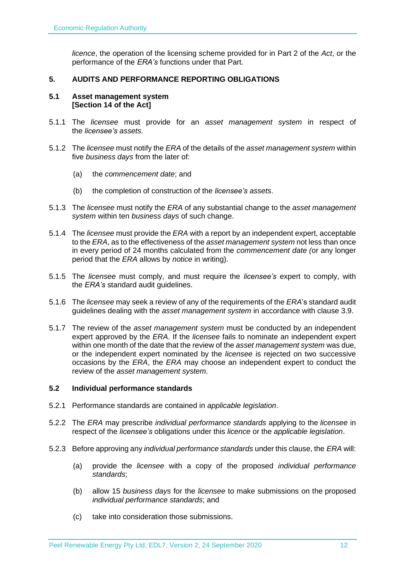*licence*, the operation of the licensing scheme provided for in Part 2 of the *Act*, or the performance of the *ERA's* functions under that Part.

## <span id="page-11-0"></span>**5. AUDITS AND PERFORMANCE REPORTING OBLIGATIONS**

#### <span id="page-11-1"></span>**5.1 Asset management system [Section 14 of the Act]**

- 5.1.1 The *licensee* must provide for an *asset management system* in respect of the *licensee's assets*.
- 5.1.2 The *licensee* must notify the *ERA* of the details of the *asset management system* within five *business days* from the later of:
	- (a) the *commencement date*; and
	- (b) the completion of construction of the *licensee's assets*.
- 5.1.3 The *licensee* must notify the *ERA* of any substantial change to the *asset management system* within ten *business days* of such change.
- 5.1.4 The *licensee* must provide the *ERA* with a report by an independent expert, acceptable to the *ERA*, as to the effectiveness of the *asset management system* not less than once in every period of 24 months calculated from the *commencement date (*or any longer period that the *ERA* allows by *notice* in writing).
- 5.1.5 The *licensee* must comply, and must require the *licensee's* expert to comply, with the *ERA's* standard audit guidelines.
- 5.1.6 The *licensee* may seek a review of any of the requirements of the *ERA*'s standard audit guidelines dealing with the *asset management system* in accordance with clause 3.9.
- 5.1.7 The review of the *asset management system* must be conducted by an independent expert approved by the *ERA*. If the *licensee* fails to nominate an independent expert within one month of the date that the review of the *asset management system* was due, or the independent expert nominated by the *licensee* is rejected on two successive occasions by the *ERA*, the *ERA* may choose an independent expert to conduct the review of the *asset management system*.

#### <span id="page-11-2"></span>**5.2 Individual performance standards**

- 5.2.1 Performance standards are contained in *applicable legislation*.
- 5.2.2 The *ERA* may prescribe *individual performance standards* applying to the *licensee* in respect of the *licensee's* obligations under this *licence* or the *applicable legislation*.
- 5.2.3 Before approving any *individual performance standards* under this clause, the *ERA* will:
	- (a) provide the *licensee* with a copy of the proposed *individual performance standards*;
	- (b) allow 15 *business days* for the *licensee* to make submissions on the proposed *individual performance standards*; and
	- (c) take into consideration those submissions.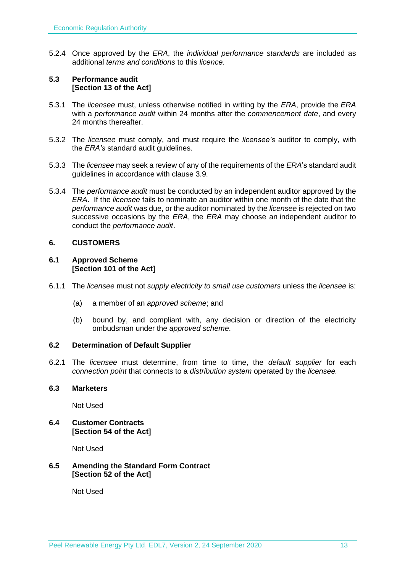5.2.4 Once approved by the *ERA*, the *individual performance standards* are included as additional *terms and conditions* to this *licence*.

#### <span id="page-12-0"></span>**5.3 Performance audit [Section 13 of the Act]**

- 5.3.1 The *licensee* must, unless otherwise notified in writing by the *ERA*, provide the *ERA* with a *performance audit* within 24 months after the *commencement date*, and every 24 months thereafter.
- 5.3.2 The *licensee* must comply, and must require the *licensee's* auditor to comply, with the *ERA's* standard audit guidelines.
- 5.3.3 The *licensee* may seek a review of any of the requirements of the *ERA*'s standard audit guidelines in accordance with clause 3.9.
- 5.3.4 The *performance audit* must be conducted by an independent auditor approved by the *ERA*. If the *licensee* fails to nominate an auditor within one month of the date that the *performance audit* was due, or the auditor nominated by the *licensee* is rejected on two successive occasions by the *ERA*, the *ERA* may choose an independent auditor to conduct the *performance audit*.

## <span id="page-12-1"></span>**6. CUSTOMERS**

#### <span id="page-12-2"></span>**6.1 Approved Scheme [Section 101 of the Act]**

- 6.1.1 The *licensee* must not *supply electricity to small use customers* unless the *licensee* is:
	- (a) a member of an *approved scheme*; and
	- (b) bound by, and compliant with, any decision or direction of the electricity ombudsman under the *approved scheme*.

## <span id="page-12-3"></span>**6.2 Determination of Default Supplier**

6.2.1 The *licensee* must determine, from time to time, the *default supplier* for each *connection point* that connects to a *distribution system* operated by the *licensee.*

## <span id="page-12-4"></span>**6.3 Marketers**

Not Used

<span id="page-12-5"></span>**6.4 Customer Contracts [Section 54 of the Act]**

Not Used

## <span id="page-12-6"></span>**6.5 Amending the Standard Form Contract [Section 52 of the Act]**

Not Used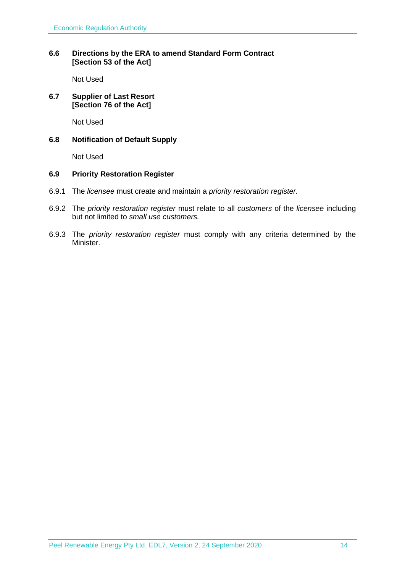## <span id="page-13-0"></span>**6.6 Directions by the ERA to amend Standard Form Contract [Section 53 of the Act]**

Not Used

## <span id="page-13-1"></span>**6.7 Supplier of Last Resort [Section 76 of the Act]**

Not Used

## <span id="page-13-2"></span>**6.8 Notification of Default Supply**

Not Used

#### <span id="page-13-3"></span>**6.9 Priority Restoration Register**

- 6.9.1 The *licensee* must create and maintain a *priority restoration register.*
- 6.9.2 The *priority restoration register* must relate to all *customers* of the *licensee* including but not limited to *small use customers.*
- 6.9.3 The *priority restoration register* must comply with any criteria determined by the Minister.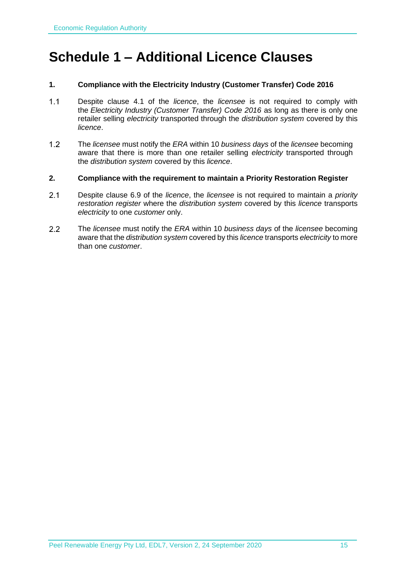# <span id="page-14-0"></span>**Schedule 1 – Additional Licence Clauses**

## **1. Compliance with the Electricity Industry (Customer Transfer) Code 2016**

- Despite clause 4.1 of the *licence*, the *licensee* is not required to comply with  $1.1$ the *Electricity Industry (Customer Transfer) Code 2016* as long as there is only one retailer selling *electricity* transported through the *distribution system* covered by this *licence*.
- $1.2$ The *licensee* must notify the *ERA* within 10 *business days* of the *licensee* becoming aware that there is more than one retailer selling *electricity* transported through the *distribution system* covered by this *licence*.

## **2. Compliance with the requirement to maintain a Priority Restoration Register**

- $2.1$ Despite clause 6.9 of the *licence*, the *licensee* is not required to maintain a *priority restoration register* where the *distribution system* covered by this *licence* transports *electricity* to one *customer* only.
- 2.2 The *licensee* must notify the *ERA* within 10 *business days* of the *licensee* becoming aware that the *distribution system* covered by this *licence* transports *electricity* to more than one *customer*.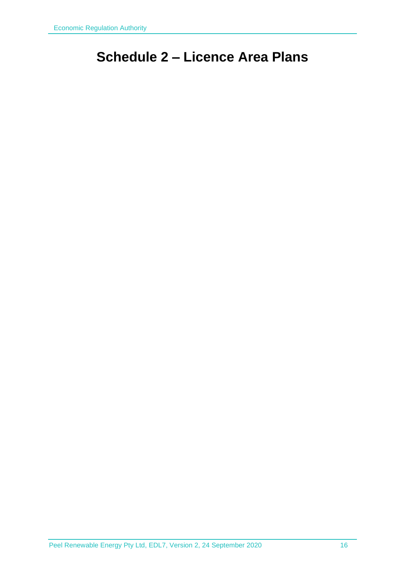# <span id="page-15-0"></span>**Schedule 2 – Licence Area Plans**